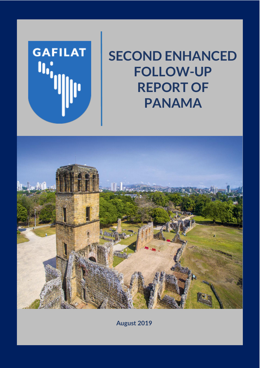

# **SECOND ENHANCED FOLLOW-UP REPORT OF PANAMA**



**August 2019**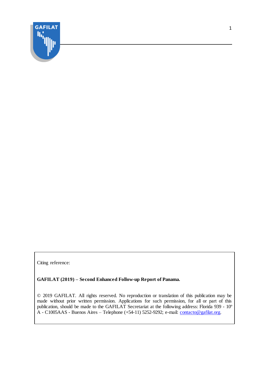

Citing reference:

#### **GAFILAT (2019) – Second Enhanced Follow-up Report of Panama.**

© 2019 GAFILAT. All rights reserved. No reproduction or translation of this publication may be made without prior written permission. Applications for such permission, for all or part of this publication, should be made to the GAFILAT Secretariat at the following address: Florida 939 - 10º A - C1005AAS - Buenos Aires – Telephone (+54-11) 5252-9292; e-mail: [contacto@gafilat.org.](mailto:contacto@gafilat.org)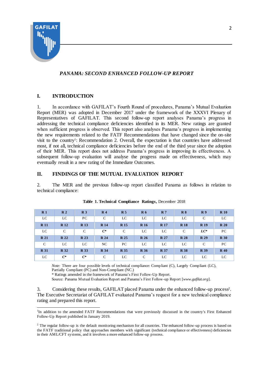

# *PANAMA: SECOND ENHANCED FOLLOW-UP REPORT*

## **I. INTRODUCTION**

1. In accordance with GAFILAT's Fourth Round of procedures, Panama's Mutual Evaluation Report (MER) was adopted in December 2017 under the framework of the XXXVI Plenary of Representatives of GAFILAT. This second follow-up report analyses Panama's progress in addressing the technical compliance deficiencies identified in its MER. New ratings are granted when sufficient progress is observed. This report also analyses Panama's progress in implementing the new requirements related to the FATF Recommendations that have changed since the on-site visit to the country<sup>1</sup>: Recommendation 2. Overall, the expectation is that countries have addressed most, if not all, technical compliance deficiencies before the end of the third year since the adoption of their MER. This report does not address Panama's progress in improving its effectiveness. A subsequent follow-up evaluation will analyse the progress made on effectiveness, which may eventually result in a new rating of the Immediate Outcomes.

## **II. FINDINGS OF THE MUTUAL EVALUATION REPORT**

2. The MER and the previous follow-up report classified Panama as follows in relation to technical compliance:

| R <sub>1</sub> | R <sub>2</sub> | R <sub>3</sub> | R <sub>4</sub> | R <sub>5</sub> | R <sub>6</sub> | R <sub>7</sub> | R8          | R <sub>9</sub> | R10             |
|----------------|----------------|----------------|----------------|----------------|----------------|----------------|-------------|----------------|-----------------|
| LC             | LC             | PC             | $\mathcal{C}$  | LC             | LC             | LC             | LC          | C              | LC              |
| <b>R</b> 11    | <b>R</b> 12    | <b>R</b> 13    | <b>R</b> 14    | <b>R</b> 15    | <b>R</b> 16    | <b>R</b> 17    | <b>R</b> 18 | <b>R</b> 19    | R <sub>20</sub> |
| LC             | C              | C              | $C^*$          | C              | LC             | LC             | C           | $LC^*$         | PC.             |
| <b>R</b> 21    | R 22           | <b>R</b> 23    | <b>R</b> 24    | <b>R</b> 25    | <b>R</b> 26    | <b>R</b> 27    | <b>R</b> 28 | R 29           | <b>R</b> 30     |
| $\mathcal{C}$  | LC             | LC             | NC             | PC             | LC             | LC             | LC          | C              | PC.             |
| <b>R</b> 31    | <b>R</b> 32    | <b>R</b> 33    | <b>R</b> 34    | <b>R</b> 35    | <b>R</b> 36    | <b>R</b> 37    | <b>R</b> 38 | <b>R</b> 39    | $R_{40}$        |
| LC             | $C^*$          | $C^*$          | $\mathcal{C}$  | LC             | $\mathcal{C}$  | LC             | LC          | LC             | LC              |

#### **Table 1. Technical Compliance Ratings,** December 2018

*Note:* There are four possible levels of technical compliance: Compliant (C), Largely Compliant (LC), Partially Compliant (PC) and Non-Compliant (NC.)

\* Ratings amended in the framework of Panama's First Follow-Up Report.

Source: Panama Mutual Evaluation Report and Panama's First Follow-up Report [*www.gafilat.org*].

3. Considering these results, GAFILAT placed Panama under the enhanced follow-up process<sup>2</sup>. The Executive Secretariat of GAFILAT evaluated Panama's request for a new technical compliance rating and prepared this report.

 $\overline{a}$ <sup>1</sup>In addition to the amended FATF Recommendations that were previously discussed in the country's First Enhanced Follow-Up Report published in January 2019.

<sup>&</sup>lt;sup>2</sup> The regular follow-up is the default monitoring mechanism for all countries. The enhanced follow-up process is based on the FATF traditional policy that approaches members with significant (technical compliance or effectiveness) deficiencies in their AML/CFT systems, and it involves a more enhanced follow-up process.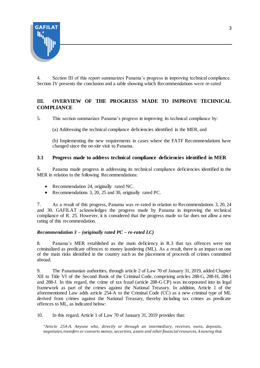

4. Section III of this report summarizes Panama's progress in improving technical compliance. Section IV presents the conclusion and a table showing which Recommendations were re-rated

# **III. OVERVIEW OF THE PROGRESS MADE TO IMPROVE TECHNICAL COMPLIANCE**

5. This section summarizes Panama's progress in improving its technical compliance by:

(a) Addressing the technical compliance deficiencies identified in the MER, and

(b) Implementing the new requirements in cases where the FATF Recommendations have changed since the on-site visit to Panama.

## **3.1 Progress made to address technical compliance deficiencies identified in MER**

6. Panama made progress in addressing its technical compliance deficiencies identified in the MER in relation to the following Recommendations:

- Recommendation 24, originally rated NC.
- Recommendations 3, 20, 25 and 30, originally rated PC.

7. As a result of this progress, Panama was re-rated in relation to Recommendations 3, 20, 24 and 30. GAFILAT acknowledges the progress made by Panama in improving the technical compliance of R. 25. However, it is considered that the progress made so far does not allow a new rating of this recommendation.

#### *Recommendation 3 – (originally rated PC – re-rated LC)*

8. Panama's MER established as the main deficiency in R.3 that tax offences were not criminalized as predicate offences to money laundering (ML). As a result, there is an impact on one of the main risks identified in the country such as the placement of proceeds of crimes committed abroad.

9. The Panamanian authorities, through article 2 of Law 70 of January 31, 2019, added Chapter XII to Title VI of the Second Book of the Criminal Code, comprising articles 288-G, 288-H, 288-I and 288-J. In this regard, the crime of tax fraud (article 288-G CP) was incorporated into its legal framework as part of the crimes against the National Treasury. In addition, Article 1 of the aforementioned Law adds article 254-A to the Criminal Code (CC) as a new criminal type of ML derived from crimes against the National Treasury, thereby including tax crimes as predicate offences to ML, as indicated below:

10. In this regard, Article 1 of Law 70 of January 31, 2019 provides that:

*"Article 254-A. Anyone who, directly or through an intermediary, receives, owns, deposits, negotiates, transfers or converts money, securities, assets and other financial resources, knowing that*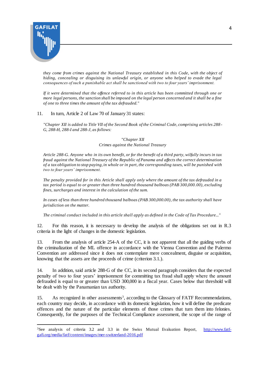

*they come from crimes against the National Treasury established in this Code, with the object of hiding, concealing or disguising its unlawful origin, or anyone who helped to evade the legal consequences of such a punishable act shall be sanctioned with two to four years' imprisonment.*

*If it were determined that the offence referred to in this article has been committed through one or more legal persons, the sanction shall be imposed on the legal person concerned and it shall be a fine of one to three times the amount of the tax defrauded."*

#### 11. In turn, Article 2 of Law 70 of January 31 states:

*"Chapter XII is added to Title VII of the Second Book of the Criminal Code, comprising articles 288 - G, 288-H, 288-I and 288-J, as follows:*

#### *"Chapter XII Crimes against the National Treasury*

*Article 288-G. Anyone who in its own benefit, or for the benefit of a third party, wilfully incurs in tax fraud against the National Treasury of the Republic of Panama and affects the correct determination of a tax obligation to stop paying, in whole or in part, the corresponding taxes, will be punished with two to four years' imprisonment.*

*The penalty provided for in this Article shall apply only where the amount of the tax defrauded in a tax period is equal to or greater than three hundred thousand balboas (PAB 300,000.00), excluding fines, surcharges and interest in the calculation of the sum.*

*In cases of less than three hundred thousand balboas (PAB 300,000.00), the tax authority shall have jurisdiction on the matter.*

*The criminal conduct included in this article shall apply as defined in the Code of Tax Procedure..."*

12. For this reason, it is necessary to develop the analysis of the obligations set out in R.3 criteria in the light of changes in the domestic legislation.

13. From the analysis of article 254-A of the CC, it is not apparent that all the guiding verbs of the criminalization of the ML offence in accordance with the Vienna Convention and the Palermo Convention are addressed since it does not contemplate mere concealment, disguise or acquisition, knowing that the assets are the proceeds of crime (criterion 3.1.).

14. In addition, said article 288-G of the CC, in its second paragraph considers that the expected penalty of two to four years' imprisonment for committing tax fraud shall apply where the amount defrauded is equal to or greater than USD 300,000 in a fiscal year. Cases below that threshold will be dealt with by the Panamanian tax authority.

15. As recognized in other assessments<sup>3</sup>, according to the Glossary of FATF Recommendations, each country may decide, in accordance with its domestic legislation, how it will define the predicate offences and the nature of the particular elements of those crimes that turn them into felonies. Consequently, for the purposes of the Technical Compliance assessment, the scope of the range of

 $\overline{a}$ <sup>3</sup>See analysis of criteria 3.2 and 3.3 in the Swiss Mutual Evaluation Report, [http://www.fatf](http://www.fatf-gafi.org/media/fatf/content/images/mer-switzerland-2016.pdf)[gafi.org/media/fatf/content/images/mer-switzerland-2016.pdf](http://www.fatf-gafi.org/media/fatf/content/images/mer-switzerland-2016.pdf)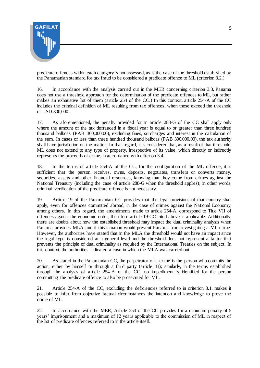

predicate offences within each category is not assessed, as is the case of the threshold established by the Panamanian standard for tax fraud to be considered a predicate offence to ML (criterion 3.2.)

16. In accordance with the analysis carried out in the MER concerning criterion 3.3, Panama does not use a threshold approach for the determination of the predicate offences to ML, but rather makes an exhaustive list of them (article 254 of the CC.) In this context, article 254-A of the CC includes the criminal definition of ML resulting from tax offences, when these exceed the threshold of USD 300,000.

17. As aforementioned, the penalty provided for in article 288-G of the CC shall apply only where the amount of the tax defrauded in a fiscal year is equal to or greater than three hundred thousand balboas (PAB 300,000.00), excluding fines, surcharges and interest in the calculation of the sum. In cases of less than three hundred thousand balboas (PAB 300,000.00), the tax authority shall have jurisdiction on the matter. In that regard, it is considered that, as a result of that threshold, ML does not extend to any type of property, irrespective of its value, which directly or indirectly represents the proceeds of crime, in accordance with criterion 3.4.

18. In the terms of article 254-A of the CC, for the configuration of the ML offence, it is sufficient that the person receives, owns, deposits, negotiates, transfers or converts money, securities, assets and other financial resources, knowing that they come from crimes against the National Treasury (including the case of article 288-G when the threshold applies); in other words, criminal verification of the predicate offence is not necessary.

19. Article 19 of the Panamanian CC provides that the legal provisions of that country shall apply, even for offences committed abroad, in the case of crimes against the National Economy, among others. In this regard, the amendments made to article 254-A, correspond to Title VII of offences against the economic order, therefore article 19 CC cited above is applicable. Additionally, there are doubts about how the established threshold may impact the dual criminality analysis when Panama provides MLA and if this situation would prevent Panama from investigating a ML crime. However, the authorities have stated that in the MLA the threshold would not have an impact since the legal type is considered at a general level and the threshold does not represent a factor that prevents the principle of dual criminality as required by the International Treaties on the subject. In this context, the authorities indicated a case in which the MLA was carried out.

20. As stated in the Panamanian CC, the perpetrator of a crime is the person who commits the action, either by himself or through a third party (article 43); similarly, in the terms established through the analysis of article 254-A of the CC, no impediment is identified for the person committing the predicate offence to also be prosecuted for ML.

21. Article 254-A of the CC, excluding the deficiencies referred to in criterion 3.1, makes it possible to infer from objective factual circumstances the intention and knowledge to prove the crime of ML.

22. In accordance with the MER, Article 254 of the CC provides for a minimum penalty of 5 years' imprisonment and a maximum of 12 years applicable to the commission of ML in respect of the list of predicate offences referred to in the article itself.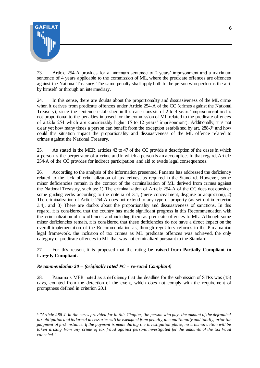

 $\overline{a}$ 

23. Article 254-A provides for a minimum sentence of 2 years' imprisonment and a maximum sentence of 4 years applicable to the commission of ML, where the predicate offences are offences against the National Treasury. The same penalty shall apply both to the person who performs the act, by himself or through an intermediary.

24. In this sense, there are doubts about the proportionality and dissuasiveness of the ML crime when it derives from predicate offences under Article 254-A of the CC (crimes against the National Treasury); since the sentence established in this case consists of 2 to 4 years' imprisonment and is not proportional to the penalties imposed for the commission of ML related to the predicate offences of article 254 which are considerably higher (5 to 12 years' imprisonment). Additionally, it is not clear yet how many times a person can benefit from the exception established by art. 288-J 4 and how could this situation impact the proportionality and dissuasiveness of the ML offence related to crimes against the National Treasury.

25. As stated in the MER, articles 43 to 47 of the CC provide a description of the cases in which a person is the perpetrator of a crime and in which a person is an accomplice. In that regard, Article 254-A of the CC provides for indirect participation and aid to evade legal consequences.

26. According to the analysis of the information presented, Panama has addressed the deficiency related to the lack of criminalization of tax crimes, as required in the Standard. However, some minor deficiencies remain in the context of the criminalization of ML derived from crimes against the National Treasury, such as: 1) The criminalization of Article 254-A of the CC does not consider some guiding verbs according to the criteria of 3.1, (mere concealment, disguise or acquisition), 2) The criminalization of Article 254-A does not extend to any type of property (as set out in criterion 3.4), and 3) There are doubts about the proportionality and dissuasiveness of sanctions. In this regard, it is considered that the country has made significant progress in this Recommendation with the criminalization of tax offences and including them as predicate offences to ML. Although some minor deficiencies remain, it is considered that these deficiencies do not have a direct impact on the overall implementation of the Recommendation as, through regulatory reforms to the Panamanian legal framework, the inclusion of tax crimes as ML predicate offences was achieved, the only category of predicate offences to ML that was not criminalized pursuant to the Standard.

27. For this reason, it is proposed that the rating **be raised from Partially Compliant to Largely Compliant.**

## *Recommendation 20 – (originally rated PC – re-rated Compliant)*

28. Panama's MER noted as a deficiency that the deadline for the submission of STRs was (15) days, counted from the detection of the event, which does not comply with the requirement of promptness defined in criterion 20.1.

<sup>4</sup> *"Article 288-J. In the cases provided for in this Chapter, the person who pays the amount of the defrauded tax obligation and its formal accessories will be exempted from penalty, unconditionally and totally, prior the judgment of first instance. If the payment is made during the investigation phase, no criminal action will be taken arising from any crime of tax fraud against persons investigated for the amounts of the tax fraud canceled."*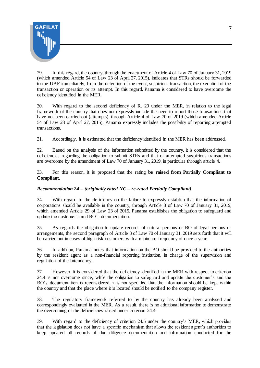

29. In this regard, the country, through the enactment of Article 4 of Law 70 of January 31, 2019 (which amended Article 54 of Law 23 of April 27, 2015), indicates that STRs should be forwarded to the UAF immediately, from the detection of the event, suspicious transaction, the execution of the transaction or operation or its attempt. In this regard, Panama is considered to have overcome the deficiency identified in the MER.

30. With regard to the second deficiency of R. 20 under the MER, in relation to the legal framework of the country that does not expressly include the need to report those transactions that have not been carried out (attempts), through Article 4 of Law 70 of 2019 (which amended Article 54 of Law 23 of April 27, 2015), Panama expressly includes the possibility of reporting attempted transactions.

31. Accordingly, it is estimated that the deficiency identified in the MER has been addressed.

32. Based on the analysis of the information submitted by the country, it is considered that the deficiencies regarding the obligation to submit STRs and that of attempted suspicious transactions are overcome by the amendment of Law 70 of January 31, 2019, in particular through article 4.

33. For this reason, it is proposed that the rating **be raised from Partially Compliant to Compliant.**

## *Recommendation 24 – (originally rated NC – re-rated Partially Compliant)*

34. With regard to the deficiency on the failure to expressly establish that the information of corporations should be available in the country, through Article 3 of Law 70 of January 31, 2019, which amended Article 29 of Law 23 of 2015, Panama establishes the obligation to safeguard and update the customer's and BO's documentation.

35. As regards the obligation to update records of natural persons or BO of legal persons or arrangements, the second paragraph of Article 3 of Law 70 of January 31, 2019 sets forth that it will be carried out in cases of high-risk customers with a minimum frequency of once a year.

36. In addition, Panama notes that information on the BO should be provided to the authorities by the resident agent as a non-financial reporting institution, in charge of the supervision and regulation of the Intendency.

37. However, it is considered that the deficiency identified in the MER with respect to criterion 24.4 is not overcome since, while the obligation to safeguard and update the customer's and the BO's documentation is reconsidered, it is not specified that the information should be kept within the country and that the place where it is located should be notified to the company register.

38. The regulatory framework referred to by the country has already been analysed and correspondingly evaluated in the MER. As a result, there is no additional information to demonstrate the overcoming of the deficiencies raised under criterion 24.4.

39. With regard to the deficiency of criterion 24.5 under the country's MER, which provides that the legislation does not have a specific mechanism that allows the resident agent's authorities to keep updated all records of due diligence documentation and information conducted for the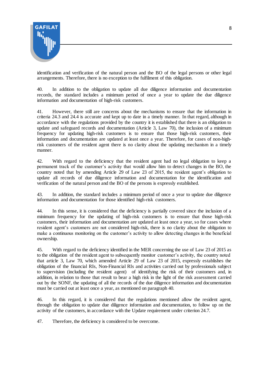

identification and verification of the natural person and the BO of the legal persons or other legal arrangements. Therefore, there is no exception to the fulfilment of this obligation.

40. In addition to the obligation to update all due diligence information and documentation records, the standard includes a minimum period of once a year to update the due diligence information and documentation of high-risk customers.

41. However, there still are concerns about the mechanisms to ensure that the information in criteria 24.3 and 24.4 is accurate and kept up to date in a timely manner. In that regard, although in accordance with the regulations provided by the country it is established that there is an obligation to update and safeguard records and documentation (Article 3, Law 70), the inclusion of a minimum frequency for updating high-risk customers is to ensure that those high-risk customers, their information and documentation are updated at least once a year. Therefore, for cases of non-highrisk customers of the resident agent there is no clarity about the updating mechanism in a timely manner.

42. With regard to the deficiency that the resident agent had no legal obligation to keep a permanent track of the customer's activity that would allow him to detect changes in the BO, the country noted that by amending Article 29 of Law 23 of 2015, the resident agent's obligation to update all records of due diligence information and documentation for the identification and verification of the natural person and the BO of the persons is expressly established.

43. In addition, the standard includes a minimum period of once a year to update due diligence information and documentation for those identified high-risk customers.

44. In this sense, it is considered that the deficiency is partially covered since the inclusion of a minimum frequency for the updating of high-risk customers is to ensure that those high-risk customers, their information and documentation are updated at least once a year, so for cases where resident agent's customers are not considered high-risk, there is no clarity about the obligation to make a continuous monitoring on the customer's activity to allow detecting changes in the beneficial ownership.

45. With regard to the deficiency identified in the MER concerning the use of Law 23 of 2015 as to the obligation of the resident agent to subsequently monitor customer's activity, the country noted that article 3, Law 70, which amended Article 29 of Law 23 of 2015, expressly establishes the obligation of the financial RIs, Non-Financial RIs and activities carried out by professionals subject to supervision (including the resident agent) of identifying the risk of their customers and, in addition, in relation to those that result to bear a high risk in the light of the risk assessment carried out by the SONF, the updating of all the records of the due diligence information and documentation must be carried out at least once a year, as mentioned on paragraph 40.

46. In this regard, it is considered that the regulations mentioned allow the resident agent, through the obligation to update due diligence information and documentation, to follow up on the activity of the customers, in accordance with the Update requirement under criterion 24.7.

47. Therefore, the deficiency is considered to be overcome.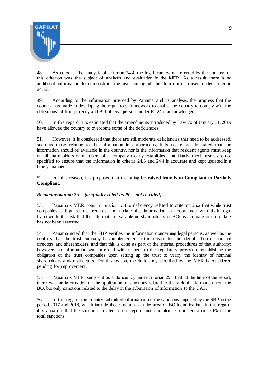

48. As noted in the analysis of criterion 24.4, the legal framework referred by the country for this criterion was the subject of analysis and evaluation in the MER. As a result, there is no additional information to demonstrate the overcoming of the deficiencies raised under criterion 24.12.

49. According to the information provided by Panama and its analysis, the progress that the country has made in developing the regulatory framework to enable the country to comply with the obligations of transparency and BO of legal persons under R. 24 is acknowledged.

50. In this regard, it is estimated that the amendments introduced by Law 70 of January 31, 2019 have allowed the country to overcome some of the deficiencies.

51. However, it is considered that there are still moderate deficiencies that need to be addressed, such as those relating to the information in corporations, it is not expressly stated that the information should be available in the country, nor is the information that resident agents must keep on all shareholders or members of a company clearly established, and finally, mechanisms are not specified to ensure that the information in criteria 24.3 and 24.4 is accurate and kept updated in a timely manner.

52. For this reason, it is proposed that the rating **be raised from Non-Compliant to Partially Compliant**.

## *Recommendation 25 – (originally rated as PC - not re-rated)*

53. Panama's MER notes in relation to the deficiency related to criterion 25.2 that while trust companies safeguard the records and update the information in accordance with their legal framework, the risk that the information available on shareholders or BOs is accurate or up to date has not been assessed.

54. Panama noted that the SBP verifies the information concerning legal persons, as well as the controls that the trust company has implemented in this regard for the identification of nominal directors and shareholders, and that this is done as part of the internal procedures of that authority; however, no information was provided with respect to the regulatory provisions establishing the obligation of the trust companies upon setting up the trust to verify the identity of nominal shareholders and/or directors. For this reason, the deficiency identified by the MER is considered pending for improvement.

55. Panama's MER points out as a deficiency under criterion 25.7 that, at the time of the report, there was no information on the application of sanctions related to the lack of information from the BO, but only sanctions related to the delay in the submission of information to the UAF.

56. In this regard, the country submitted information on the sanctions imposed by the SBP in the period 2017 and 2018, which include those breaches in the area of BO identification. In this regard, it is apparent that the sanctions related to this type of non-compliance represent about 80% of the total sanctions.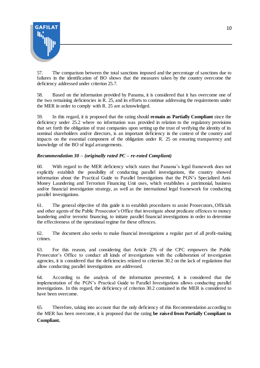

57. The comparison between the total sanctions imposed and the percentage of sanctions due to failures in the identification of BO shows that the measures taken by the country overcome the deficiency addressed under criterion 25.7.

58. Based on the information provided by Panama, it is considered that it has overcome one of the two remaining deficiencies in R. 25, and its efforts to continue addressing the requirements under the MER in order to comply with R. 25 are acknowledged.

59. In this regard, it is proposed that the rating should **remain as Partially Compliant** since the deficiency under 25.2 where no information was provided in relation to the regulatory provisions that set forth the obligation of trust companies upon setting up the trust of verifying the identity of its nominal shareholders and/or directors, is an important deficiency in the context of the country and impacts on the essential component of the obligation under R. 25 on ensuring transparency and knowledge of the BO of legal arrangements.

## *Recommendation 30 – (originally rated PC – re-rated Compliant)*

60. With regard to the MER deficiency which states that Panama's legal framework does not explicitly establish the possibility of conducting parallel investigations, the country showed information about the Practical Guide to Parallel Investigations that the PGN's Specialized Anti-Money Laundering and Terrorism Financing Unit uses, which establishes a patrimonial, business and/or financial investigation strategy, as well as the international legal framework for conducting parallel investigations.

61. The general objective of this guide is to establish procedures to assist Prosecutors, Officials and other agents of the Public Prosecutor's Office that investigate about predicate offences to money laundering and/or terrorist financing, to initiate parallel financial investigations in order to determine the effectiveness of the operational regime for these offences.

62. The document also seeks to make financial investigations a regular part of all profit-making crimes.

63. For this reason, and considering that Article 276 of the CPC empowers the Public Prosecutor's Office to conduct all kinds of investigations with the collaboration of investigation agencies, it is considered that the deficiencies related to criterion 30.2 on the lack of regulations that allow conducting parallel investigations are addressed.

64. According to the analysis of the information presented, it is considered that the implementation of the PGN's Practical Guide to Parallel Investigations allows conducting parallel investigations. In this regard, the deficiency of criterion 30.2 contained in the MER is considered to have been overcome.

65. Therefore, taking into account that the only deficiency of this Recommendation according to the MER has been overcome, it is proposed that the rating **be raised from Partially Compliant to Compliant.**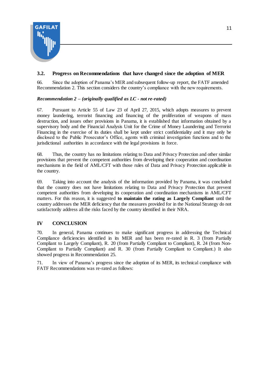

# **3.2. Progress on Recommendations that have changed since the adoption of MER**

66. Since the adoption of Panama's MER and subsequent follow-up report, the FATF amended Recommendation 2. This section considers the country's compliance with the new requirements.

## *Recommendation 2 – (originally qualified as LC - not re-rated)*

67. Pursuant to Article 55 of Law 23 of April 27, 2015, which adopts measures to prevent money laundering, terrorist financing and financing of the proliferation of weapons of mass destruction, and issues other provisions in Panama, it is established that information obtained by a supervisory body and the Financial Analysis Unit for the Crime of Money Laundering and Terrorist Financing in the exercise of its duties shall be kept under strict confidentiality and it may only be disclosed to the Public Prosecutor's Office, agents with criminal investigation functions and to the jurisdictional authorities in accordance with the legal provisions in force.

68. Thus, the country has no limitations relating to Data and Privacy Protection and other similar provisions that prevent the competent authorities from developing their cooperation and coordination mechanisms in the field of AML/CFT with those rules of Data and Privacy Protection applicable in the country.

69. Taking into account the analysis of the information provided by Panama, it was concluded that the country does not have limitations relating to Data and Privacy Protection that prevent competent authorities from developing its cooperation and coordination mechanisms in AML/CFT matters. For this reason, it is suggested **to maintain the rating as Largely Compliant** until the country addresses the MER deficiency that the measures provided for in the National Strategy do not satisfactorily address all the risks faced by the country identified in their NRA.

## **IV CONCLUSION**

70. In general, Panama continues to make significant progress in addressing the Technical Compliance deficiencies identified in its MER and has been re-rated in R. 3 (from Partially Compliant to Largely Compliant), R. 20 (from Partially Compliant to Compliant), R. 24 (from Non-Compliant to Partially Compliant) and R. 30 (from Partially Compliant to Compliant.) It also showed progress in Recommendation 25.

71. In view of Panama's progress since the adoption of its MER, its technical compliance with FATF Recommendations was re-rated as follows: